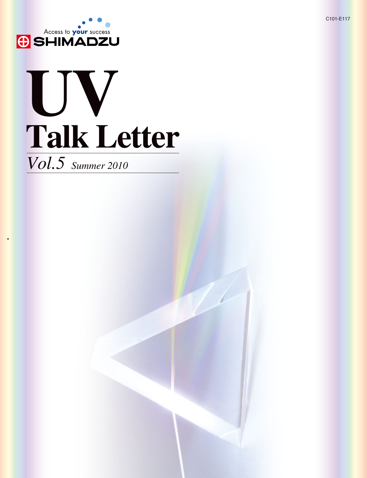

# **Talk Letter UV**

*Vol.5 Summer 2010*

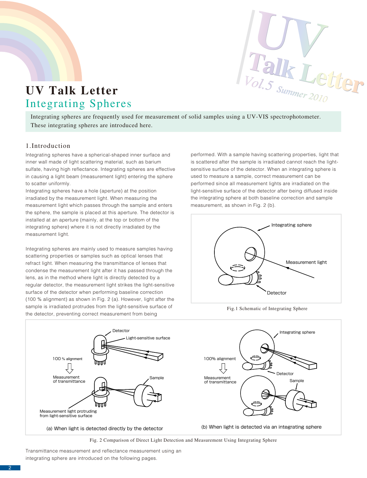

## **UV Talk Letter** Integrating Spheres

Integrating spheres are frequently used for measurement of solid samples using a UV-VIS spectrophotometer. These integrating spheres are introduced here.

#### 1.Introduction

Integrating spheres have a spherical-shaped inner surface and inner wall made of light scattering material, such as barium sulfate, having high reflectance. Integrating spheres are effective in causing a light beam (measurement light) entering the sphere to scatter uniformly.

Integrating spheres have a hole (aperture) at the position irradiated by the measurement light. When measuring the measurement light which passes through the sample and enters the sphere, the sample is placed at this aperture. The detector is installed at an aperture (mainly, at the top or bottom of the integrating sphere) where it is not directly irradiated by the measurement light.

Integrating spheres are mainly used to measure samples having scattering properties or samples such as optical lenses that refract light. When measuring the transmittance of lenses that condense the measurement light after it has passed through the lens, as in the method where light is directly detected by a regular detector, the measurement light strikes the light-sensitive surface of the detector when performing baseline correction (100 % alignment) as shown in Fig. 2 (a). However, light after the sample is irradiated protrudes from the light-sensitive surface of the detector, preventing correct measurement from being

performed. With a sample having scattering properties, light that is scattered after the sample is irradiated cannot reach the lightsensitive surface of the detector. When an integrating sphere is used to measure a sample, correct measurement can be performed since all measurement lights are irradiated on the light-sensitive surface of the detector after being diffused inside the integrating sphere at both baseline correction and sample measurement, as shown in Fig. 2 (b).



Fig.1 Schematic of Integrating Sphere



Fig. 2 Comparison of Direct Light Detection and Measurement Using Integrating Sphere

Transmittance measurement and reflectance measurement using an integrating sphere are introduced on the following pages.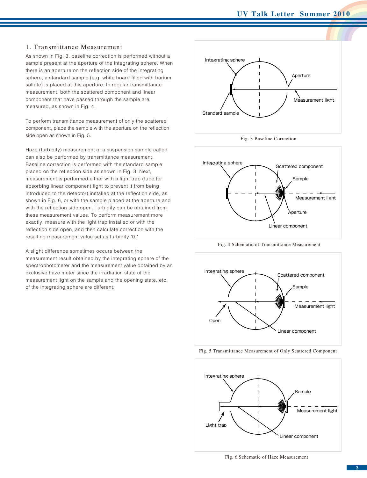#### 1. Transmittance Measurement

As shown in Fig. 3, baseline correction is performed without a sample present at the aperture of the integrating sphere. When there is an aperture on the reflection side of the integrating sphere, a standard sample (e.g. white board filled with barium sulfate) is placed at this aperture. In regular transmittance measurement, both the scattered component and linear component that have passed through the sample are measured, as shown in Fig. 4.

To perform transmittance measurement of only the scattered component, place the sample with the aperture on the reflection side open as shown in Fig. 5.

Haze (turbidity) measurement of a suspension sample called can also be performed by transmittance measurement. Baseline correction is performed with the standard sample placed on the reflection side as shown in Fig. 3. Next, measurement is performed either with a light trap (tube for absorbing linear component light to prevent it from being introduced to the detector) installed at the reflection side, as shown in Fig. 6, or with the sample placed at the aperture and with the reflection side open. Turbidity can be obtained from these measurement values. To perform measurement more exactly, measure with the light trap installed or with the reflection side open, and then calculate correction with the resulting measurement value set as turbidity "0."

A slight difference sometimes occurs between the measurement result obtained by the integrating sphere of the spectrophotometer and the measurement value obtained by an exclusive haze meter since the irradiation state of the measurement light on the sample and the opening state, etc. of the integrating sphere are different.







Fig. 4 Schematic of Transmittance Measurement



Fig. 5 Transmittance Measurement of Only Scattered Component



Fig. 6 Schematic of Haze Measurement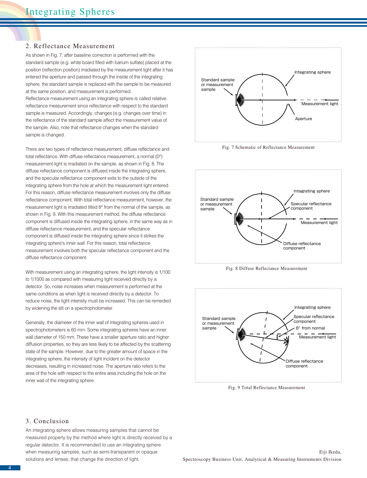#### 2. Reflectance Measurement

As shown in Fig. 7, after baseline correction is performed with the standard sample (e.g. white board filled with barium sulfate) placed at the position (reflection position) irradiated by the measurement light after it has entered the aperture and passed through the inside of the integrating sphere, the standard sample is replaced with the sample to be measured at the same position, and measurement is performed.

Reflectance measurement using an integrating sphere is called relative reflectance measurement since reflectance with respect to the standard sample is measured. Accordingly, changes (e.g. changes over time) in the reflectance of the standard sample affect the measurement value of the sample. Also, note that reflectance changes when the standard sample is changed.

There are two types of reflectance measurement, diffuse reflectance and total reflectance. With diffuse reflectance measurement, a normal (0°) measurement light is irradiated on the sample, as shown in Fig. 8. The diffuse reflectance component is diffused inside the integrating sphere, and the specular reflectance component exits to the outside of the integrating sphere from the hole at which the measurement light entered. For this reason, diffuse reflectance measurement involves only the diffuse reflectance component. With total reflectance measurement, however, the measurement light is irradiated tilted 8° from the normal of the sample, as shown in Fig. 9. With this measurement method, the diffuse reflectance component is diffused inside the integrating sphere, in the same way as in diffuse reflectance measurement, and the specular reflectance component is diffused inside the integrating sphere since it strikes the integrating sphere's inner wall. For this reason, total reflectance measurement involves both the specular reflectance component and the diffuse reflectance component.

With measurement using an integrating sphere, the light intensity is 1/100 to 1/1000 as compared with measuring light received directly by a detector. So, noise increases when measurement is performed at the same conditions as when light is received directly by a detector. To reduce noise, the light intensity must be increased. This can be remedied by widening the slit on a spectrophotometer.

Generally, the diameter of the inner wall of integrating spheres used in spectrophotometers is 60 mm. Some integrating spheres have an inner wall diameter of 150 mm. These have a smaller aperture ratio and higher diffusion properties, so they are less likely to be affected by the scattering state of the sample. However, due to the greater amount of space in the integrating sphere, the intensity of light incident on the detector decreases, resulting in increased noise. The aperture ratio refers to the area of the hole with respect to the entire area including the hole on the inner wall of the integrating sphere.



Fig. 7 Schematic of Reflectance Measurement



Fig. 8 Diffuse Reflectance Measurement



Fig. 9 Total Reflectance Measurement

#### 3. Conclusion

An integrating sphere allows measuring samples that cannot be measured properly by the method where light is directly received by a regular detector. It is recommended to use an integrating sphere when measuring samples, such as semi-transparent or opaque solutions and lenses, that change the direction of light.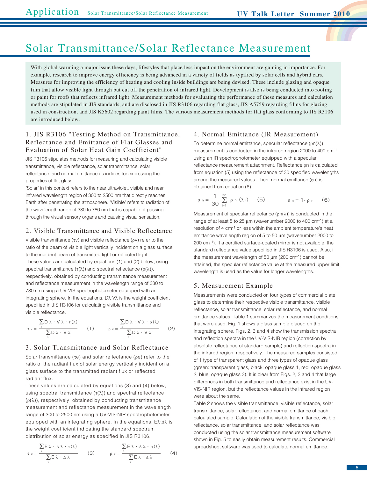### Solar Transmittance/Solar Reflectance Measurement

film that allow visible light through but cut off the penetration of infrared light. Development is also is being conducted into roofing or paint for roofs that reflects infrared light. Measurement methods for evaluating the performance of these measures and calculation With global warming a major issue these days, lifestyles that place less impact on the environment are gaining in importance. For example, research to improve energy efficiency is being advanced in a variety of fields as typified by solar cells and hybrid cars. Measures for improving the efficiency of heating and cooling inside buildings are being devised. These include glazing and opaque methods are stipulated in JIS standards, and are disclosed in JIS R3106 regarding flat glass, JIS A5759 regarding films for glazing used in construction, and JIS K5602 regarding paint films. The various measurement methods for flat glass conforming to JIS R3106 are introduced below.

#### 1. JIS R3106 "Testing Method on Transmittance, Reflectance and Emittance of Flat Glasses and Evaluation of Solar Heat Gain Coefficient"

JIS R3106 stipulates methods for measuring and calculating visible transmittance, visible reflectance, solar transmittance, solar reflectance, and normal emittance as indices for expressing the properties of flat glass.

"Solar" in this context refers to the near ultraviolet, visible and near infrared wavelength region of 300 to 2500 nm that directly reaches Earth after penetrating the atmosphere. "Visible" refers to radiation of the wavelength range of 380 to 780 nm that is capable of passing through the visual sensory organs and causing visual sensation.

#### 2. Visible Transmittance and Visible Reflectance

Visible transmittance (τv) and visible reflectance (ρv) refer to the ratio of the beam of visible light vertically incident on a glass surface to the incident beam of transmitted light or reflected light. These values are calculated by equations (1) and (2) below, using spectral transmittance ( $\tau(\lambda)$ ) and spectral reflectance ( $\rho(\lambda)$ ), respectively, obtained by conducting transmittance measurement and reflectance measurement in the wavelength range of 380 to 780 nm using a UV-VIS spectrophotometer equipped with an integrating sphere. In the equations, Dλ·Vλ is the weight coefficient specified in JIS R3106 for calculating visible transmittance and visible reflectance.

$$
\tau v = \frac{\sum_{\lambda} D \lambda \cdot V \lambda \cdot \tau(\lambda)}{\sum_{\lambda} D \lambda \cdot V \lambda}
$$
 (1) 
$$
\rho v = \frac{\sum_{\lambda} D \lambda \cdot V \lambda \cdot \rho(\lambda)}{\sum_{\lambda} D \lambda \cdot V \lambda}
$$
 (2)

#### 3. Solar Transmittance and Solar Reflectance

Solar transmittance (τe) and solar reflectance (ρe) refer to the ratio of the radiant flux of solar energy vertically incident on a glass surface to the transmitted radiant flux or reflected radiant flux.

These values are calculated by equations (3) and (4) below, using spectral transmittance  $(\tau(\lambda))$  and spectral reflectance  $(\rho(\lambda))$ , respectively, obtained by conducting transmittance measurement and reflectance measurement in the wavelength range of 300 to 2500 nm using a UV-VIS-NIR spectrophotometer equipped with an integrating sphere. In the equations, Eλ·Δλ is the weight coefficient indicating the standard spectrum distribution of solar energy as specified in JIS R3106.

$$
\tau e = \frac{\sum_{\lambda} E \lambda \cdot \Delta \lambda \cdot \tau(\lambda)}{\sum_{\lambda} E \lambda \cdot \Delta \lambda}
$$
 (3) 
$$
\rho e = \frac{\sum_{\lambda} E \lambda \cdot \Delta \lambda \cdot \rho(\lambda)}{\sum_{\lambda} E \lambda \cdot \Delta \lambda}
$$
 (4)

#### 4. Normal Emittance (IR Measurement)

To determine normal emittance, specular reflectance (ρn(λ)) measurement is conducted in the infrared region 2000 to 400 cm-1 using an IR spectrophotometer equipped with a specular reflectance measurement attachment. Reflectance ρn is calculated from equation (5) using the reflectance of 30 specified wavelengths among the measured values. Then, normal emittance (εn) is obtained from equation (6).

$$
\rho n = \frac{1}{30} \sum_{i=1}^{30} \rho n (\lambda i) \qquad (5) \qquad \epsilon n = 1 - \rho n \qquad (6)
$$

Measurement of specular reflectance  $(pn(\lambda))$  is conducted in the range of at least 5 to 25  $\mu$ m (wavenumber 2000 to 400 cm<sup>-1</sup>) at a resolution of 4 cm-1 or less within the ambient temperature's heat emittance wavelength region of 5 to 50 μm (wavenumber 2000 to 200 cm-1). If a certified surface-coated mirror is not available, the standard reflectance value specified in JIS R3106 is used. Also, if the measurement wavelength of 50  $\mu$ m (200 cm<sup>-1</sup>) cannot be attained, the specular reflectance value at the measured upper limit wavelength is used as the value for longer wavelengths.

#### 5. Measurement Example

Measurements were conducted on four types of commercial plate glass to determine their respective visible transmittance, visible reflectance, solar transmittance, solar reflectance, and normal emittance values. Table 1 summarizes the measurement conditions that were used. Fig. 1 shows a glass sample placed on the integrating sphere. Figs. 2, 3 and 4 show the transmission spectra and reflection spectra in the UV-VIS-NIR region (correction by absolute reflectance of standard sample) and reflection spectra in the infrared region, respectively. The measured samples consisted of 1 type of transparent glass and three types of opaque glass (green: transparent glass, black: opaque glass 1, red: opaque glass 2, blue: opaque glass 3). It is clear from Figs. 2, 3 and 4 that large differences in both transmittance and reflectance exist in the UV-VIS-NIR region, but the reflectance values in the infrared region were about the same.

Table 2 shows the visible transmittance, visible reflectance, solar transmittance, solar reflectance, and normal emittance of each calculated sample. Calculation of the visible transmittance, visible reflectance, solar transmittance, and solar reflectance was conducted using the solar transmittance measurement software shown in Fig. 5 to easily obtain measurement results. Commercial spreadsheet software was used to calculate normal emittance.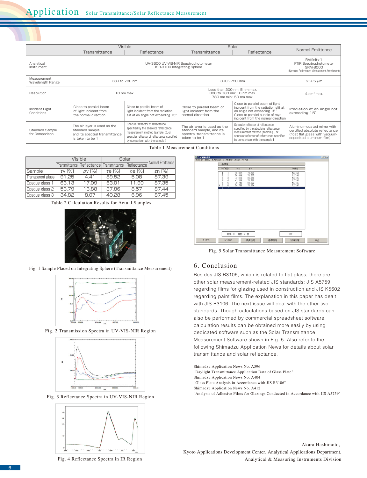|                                          | Visible                                                                                                |                                                                                                                                                                                                   | Solar                                                                                                  |                                                                                                                                                                                                   |                                                                                                                             |
|------------------------------------------|--------------------------------------------------------------------------------------------------------|---------------------------------------------------------------------------------------------------------------------------------------------------------------------------------------------------|--------------------------------------------------------------------------------------------------------|---------------------------------------------------------------------------------------------------------------------------------------------------------------------------------------------------|-----------------------------------------------------------------------------------------------------------------------------|
|                                          | Transmittance                                                                                          | Reflectance                                                                                                                                                                                       | Transmittance                                                                                          | Reflectance                                                                                                                                                                                       | Normal Emittance                                                                                                            |
| Analytical<br>Instrument                 |                                                                                                        | <b>IRAffinity-1</b><br>FTIR Spectrophotometer<br><b>SRM-8000</b><br>(Specular Reflectance Measurement Attachment)                                                                                 |                                                                                                        |                                                                                                                                                                                                   |                                                                                                                             |
| Measurement<br><b>Wavelength Range</b>   |                                                                                                        | 380 to 780 nm                                                                                                                                                                                     | 300~2500nm                                                                                             |                                                                                                                                                                                                   | $5 - 25$ um                                                                                                                 |
| Resolution                               | 10 nm max.                                                                                             |                                                                                                                                                                                                   | Less than 300 nm: 5 nm max.<br>380 to 780 nm: 10 nm max.<br>780 nm min.: 50 nm max.                    |                                                                                                                                                                                                   | $4 \text{ cm}$ <sup>1</sup> max.                                                                                            |
| Incident Light<br>Conditions             | Close to parallel beam<br>of light incident from<br>the normal direction                               | Close to parallel beam of<br>light incident from the radiation<br>slit at an angle not exceeding 15°                                                                                              | Close to parallel beam of<br>light incident from the<br>normal direction                               | Close to parallel beam of light<br>incident from the radiation slit at<br>an angle not exceeding 15°<br>Close to parallel bundle of rays<br>incident from the normal direction                    | Irradiation at an angle not<br>exceeding 15°                                                                                |
| <b>Standard Sample</b><br>for Comparison | The air layer is used as the<br>standard sample.<br>and its spectral transmittance<br>is taken to be 1 | Specular reflector of reflectance<br>specified by the absolute reflectance<br>measurement method (sample 1), or<br>specular reflector of reflectance specified<br>by comparison with the sample I | The air layer is used as the<br>standard sample, and its<br>spectral transmittance is<br>taken to be 1 | Specular reflector of reflectance<br>specified by the absolute reflectance<br>measurement method (sample 1), or<br>specular reflector of reflectance specified<br>by comparison with the sample ! | Aluminum-coated mirror with<br>certified absolute reflectance<br>(float flat glass with vacuum-<br>deposited aluminum film) |

Table 1 Measurement Conditions

|                   |          | Visible | Solar                                       |              |                  |  |  |  |  |
|-------------------|----------|---------|---------------------------------------------|--------------|------------------|--|--|--|--|
|                   |          |         | Transmittance   Reflectance   Transmittance | Reflectance  | Normal Emittance |  |  |  |  |
| Sample            | $TV$ [%] | pv [%]  | $\tau$ e [%]                                | $\rho$ e [%] | $\epsilon$ n [%] |  |  |  |  |
| Transparent glass | 91.25    | 441     | 89.52                                       | 5.08         | 87.39            |  |  |  |  |
| Opaque glass 1    | 63.13    | 17.09   | 63.01                                       | 11.90        | 87.35            |  |  |  |  |
| Opaque glass 2    | 53.79    | 13.88   | 37.86                                       | 8.57         | 87.44            |  |  |  |  |
| Opaque glass 3    | 34.82    | 8.07    | 40.28                                       | 6.96         | 87.45            |  |  |  |  |

Table 2 Calculation Results for Actual Samples



Fig. 1 Sample Placed on Integrating Sphere (Transmittance Measurement)



Fig. 2 Transmission Spectra in UV-VIS-NIR Region



Fig. 3 Reflectance Spectra in UV-VIS-NIR Region







Fig. 5 Solar Transmittance Measurement Software

#### 6. Conclusion

Besides JIS R3106, which is related to flat glass, there are other solar measurement-related JIS standards: JIS A5759 regarding films for glazing used in construction and JIS K5602 regarding paint films. The explanation in this paper has dealt with JIS R3106. The next issue will deal with the other two standards. Though calculations based on JIS standards can also be performed by commercial spreadsheet software, calculation results can be obtained more easily by using dedicated software such as the Solar Transmittance Measurement Software shown in Fig. 5. Also refer to the following Shimadzu Application News for details about solar transmittance and solar reflectance.

Shimadzu Application News No. A396

- "Daylight Transmittance Application Data of Glass Plate"
- Shimadzu Application News No. A404

"Glass Plate Analysis in Accordance with JIS R3106"

Shimadzu Application News No. A412

"Analysis of Adhesive Films for Glazings Conducted in Accordance with JIS A5759"

Akara Hashimoto, Kyoto Applications Development Center, Analytical Applications Department, Analytical & Measuring Instruments Division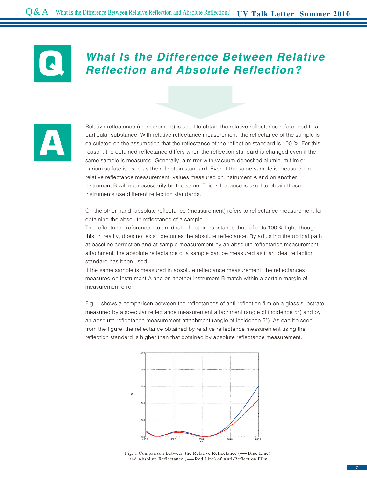### **What Is the Difference Between Relative Reflection and Absolute Reflection?**



**Q**

Relative reflectance (measurement) is used to obtain the relative reflectance referenced to a particular substance. With relative reflectance measurement, the reflectance of the sample is calculated on the assumption that the reflectance of the reflection standard is 100 %. For this reason, the obtained reflectance differs when the reflection standard is changed even if the same sample is measured. Generally, a mirror with vacuum-deposited aluminum film or barium sulfate is used as the reflection standard. Even if the same sample is measured in relative reflectance measurement, values measured on instrument A and on another instrument B will not necessarily be the same. This is because is used to obtain these instruments use different reflection standards.

On the other hand, absolute reflectance (measurement) refers to reflectance measurement for obtaining the absolute reflectance of a sample.

The reflectance referenced to an ideal reflection substance that reflects 100 % light, though this, in reality, does not exist, becomes the absolute reflectance. By adjusting the optical path at baseline correction and at sample measurement by an absolute reflectance measurement attachment, the absolute reflectance of a sample can be measured as if an ideal reflection standard has been used.

If the same sample is measured in absolute reflectance measurement, the reflectances measured on instrument A and on another instrument B match within a certain margin of measurement error.

Fig. 1 shows a comparison between the reflectances of anti-reflection film on a glass substrate measured by a specular reflectance measurement attachment (angle of incidence 5°) and by an absolute reflectance measurement attachment (angle of incidence 5°). As can be seen from the figure, the reflectance obtained by relative reflectance measurement using the reflection standard is higher than that obtained by absolute reflectance measurement.



Fig. 1 Comparison Between the Relative Reflectance (-Blue Line) and Absolute Reflectance (-Red Line) of Anti-Reflection Film